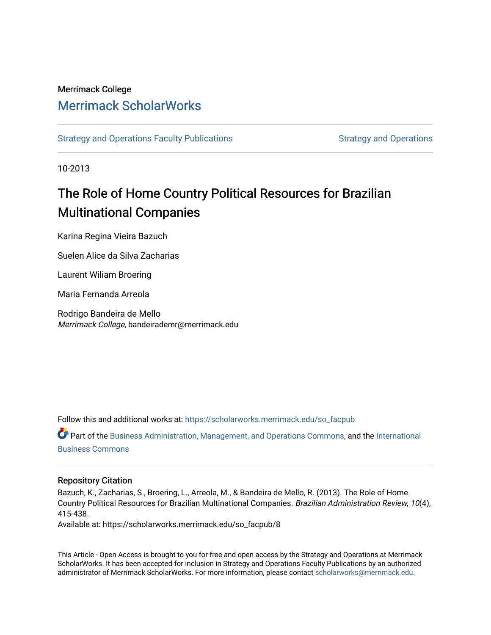## Merrimack College [Merrimack ScholarWorks](https://scholarworks.merrimack.edu/)

[Strategy and Operations Faculty Publications](https://scholarworks.merrimack.edu/so_facpub) [Strategy and Operations](https://scholarworks.merrimack.edu/so) Strategy and Operations

10-2013

# The Role of Home Country Political Resources for Brazilian Multinational Companies

Karina Regina Vieira Bazuch

Suelen Alice da Silva Zacharias

Laurent Wiliam Broering

Maria Fernanda Arreola

Rodrigo Bandeira de Mello Merrimack College, bandeirademr@merrimack.edu

Follow this and additional works at: [https://scholarworks.merrimack.edu/so\\_facpub](https://scholarworks.merrimack.edu/so_facpub?utm_source=scholarworks.merrimack.edu%2Fso_facpub%2F8&utm_medium=PDF&utm_campaign=PDFCoverPages) 

Part of the [Business Administration, Management, and Operations Commons](http://network.bepress.com/hgg/discipline/623?utm_source=scholarworks.merrimack.edu%2Fso_facpub%2F8&utm_medium=PDF&utm_campaign=PDFCoverPages), and the [International](http://network.bepress.com/hgg/discipline/634?utm_source=scholarworks.merrimack.edu%2Fso_facpub%2F8&utm_medium=PDF&utm_campaign=PDFCoverPages) [Business Commons](http://network.bepress.com/hgg/discipline/634?utm_source=scholarworks.merrimack.edu%2Fso_facpub%2F8&utm_medium=PDF&utm_campaign=PDFCoverPages) 

## Repository Citation

Bazuch, K., Zacharias, S., Broering, L., Arreola, M., & Bandeira de Mello, R. (2013). The Role of Home Country Political Resources for Brazilian Multinational Companies. Brazilian Administration Review, 10(4), 415-438.

Available at: https://scholarworks.merrimack.edu/so\_facpub/8

This Article - Open Access is brought to you for free and open access by the Strategy and Operations at Merrimack ScholarWorks. It has been accepted for inclusion in Strategy and Operations Faculty Publications by an authorized administrator of Merrimack ScholarWorks. For more information, please contact [scholarworks@merrimack.edu](mailto:scholarworks@merrimack.edu).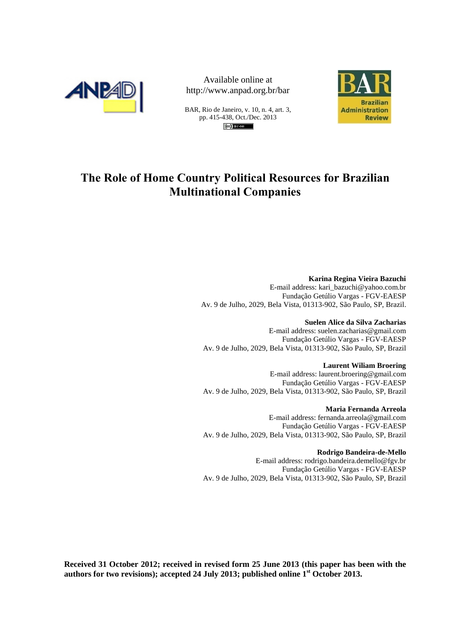

Available online at http://www.anpad.org.br/bar

BAR, Rio de Janeiro, v. 10, n. 4, art. 3, pp. 415-438, Oct./Dec. 2013



## **The Role of Home Country Political Resources for Brazilian Multinational Companies**

**Karina Regina Vieira Bazuchi** E-mail address: kari\_bazuchi@yahoo.com.br Fundação Getúlio Vargas - FGV-EAESP Av. 9 de Julho, 2029, Bela Vista, 01313-902, São Paulo, SP, Brazil.

**Suelen Alice da Silva Zacharias** E-mail address: suelen.zacharias@gmail.com Fundação Getúlio Vargas - FGV-EAESP Av. 9 de Julho, 2029, Bela Vista, 01313-902, São Paulo, SP, Brazil

**Laurent Wiliam Broering** E-mail address: laurent.broering@gmail.com Fundação Getúlio Vargas - FGV-EAESP Av. 9 de Julho, 2029, Bela Vista, 01313-902, São Paulo, SP, Brazil

**Maria Fernanda Arreola** E-mail address: fernanda.arreola@gmail.com Fundação Getúlio Vargas - FGV-EAESP Av. 9 de Julho, 2029, Bela Vista, 01313-902, São Paulo, SP, Brazil

**Rodrigo Bandeira-de-Mello**

E-mail address: rodrigo.bandeira.demello@fgv.br Fundação Getúlio Vargas - FGV-EAESP Av. 9 de Julho, 2029, Bela Vista, 01313-902, São Paulo, SP, Brazil

**Received 31 October 2012; received in revised form 25 June 2013 (this paper has been with the authors for two revisions); accepted 24 July 2013; published online 1st October 2013.**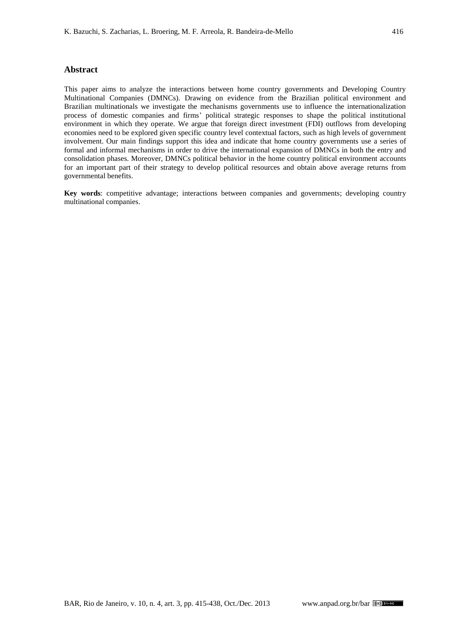#### **Abstract**

This paper aims to analyze the interactions between home country governments and Developing Country Multinational Companies (DMNCs). Drawing on evidence from the Brazilian political environment and Brazilian multinationals we investigate the mechanisms governments use to influence the internationalization process of domestic companies and firms' political strategic responses to shape the political institutional environment in which they operate. We argue that foreign direct investment (FDI) outflows from developing economies need to be explored given specific country level contextual factors, such as high levels of government involvement. Our main findings support this idea and indicate that home country governments use a series of formal and informal mechanisms in order to drive the international expansion of DMNCs in both the entry and consolidation phases. Moreover, DMNCs political behavior in the home country political environment accounts for an important part of their strategy to develop political resources and obtain above average returns from governmental benefits.

**Key words**: competitive advantage; interactions between companies and governments; developing country multinational companies.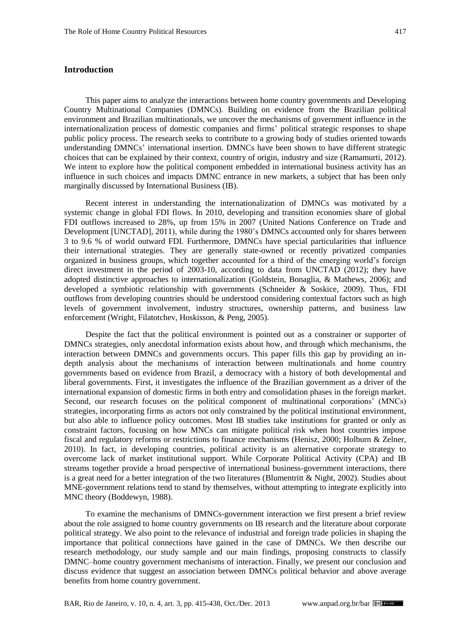## **Introduction**

This paper aims to analyze the interactions between home country governments and Developing Country Multinational Companies (DMNCs). Building on evidence from the Brazilian political environment and Brazilian multinationals, we uncover the mechanisms of government influence in the internationalization process of domestic companies and firms' political strategic responses to shape public policy process. The research seeks to contribute to a growing body of studies oriented towards understanding DMNCs' international insertion. DMNCs have been shown to have different strategic choices that can be explained by their context, country of origin, industry and size [\(Ramamurti, 2012\)](#page-20-0). We intent to explore how the political component embedded in international business activity has an influence in such choices and impacts DMNC entrance in new markets, a subject that has been only marginally discussed by International Business (IB).

Recent interest in understanding the internationalization of DMNCs was motivated by a systemic change in global FDI flows. In 2010, developing and transition economies share of global FDI outflows increased to 28%, up from 15% in 2007 (United Nations Conference on Trade and Development [\[UNCTAD\], 2011\)](#page-20-1), while during the 1980's DMNCs accounted only for shares between 3 to 9.6 % of world outward FDI. Furthermore, DMNCs have special particularities that influence their international strategies. They are generally state-owned or recently privatized companies organized in business groups, which together accounted for a third of the emerging world's foreign direct investment in the period of 2003-10, according to data from [UNCTAD \(2012\);](#page-20-2) they have adopted distinctive approaches to internationalization [\(Goldstein, Bonaglia, & Mathews,](#page-18-0) 2006); and developed a symbiotic relationship with governments (Schneider [& Soskice, 2009\)](#page-20-3). Thus, FDI outflows from developing countries should be understood considering contextual factors such as high levels of government involvement, industry structures, ownership patterns, and business law enforcement [\(Wright, Filatotchev, Hoskisson,](#page-21-0) & Peng, 2005).

Despite the fact that the political environment is pointed out as a constrainer or supporter of DMNCs strategies, only anecdotal information exists about how, and through which mechanisms, the interaction between DMNCs and governments occurs. This paper fills this gap by providing an indepth analysis about the mechanisms of interaction between multinationals and home country governments based on evidence from Brazil, a democracy with a history of both developmental and liberal governments. First, it investigates the influence of the Brazilian government as a driver of the international expansion of domestic firms in both entry and consolidation phases in the foreign market. Second, our research focuses on the political component of multinational corporations' (MNCs) strategies, incorporating firms as actors not only constrained by the political institutional environment, but also able to influence policy outcomes. Most IB studies take institutions for granted or only as constraint factors, focusing on how MNCs can mitigate political risk when host countries impose fiscal and regulatory reforms or restrictions to finance mechanisms [\(Henisz, 2000;](#page-18-1) [Holburn & Zelner,](#page-19-0)  [2010\)](#page-19-0). In fact, in developing countries, political activity is an alternative corporate strategy to overcome lack of market institutional support. While Corporate Political Activity (CPA) and IB streams together provide a broad perspective of international business-government interactions, there is a great need for a better integration of the two literatures [\(Blumentritt & Night, 2002\)](#page-17-0). Studies about MNE-government relations tend to stand by themselves, without attempting to integrate explicitly into MNC theory [\(Boddewyn, 1988\)](#page-17-1).

To examine the mechanisms of DMNCs-government interaction we first present a brief review about the role assigned to home country governments on IB research and the literature about corporate political strategy. We also point to the relevance of industrial and foreign trade policies in shaping the importance that political connections have gained in the case of DMNCs. We then describe our research methodology, our study sample and our main findings, proposing constructs to classify DMNC–home country government mechanisms of interaction. Finally, we present our conclusion and discuss evidence that suggest an association between DMNCs political behavior and above average benefits from home country government.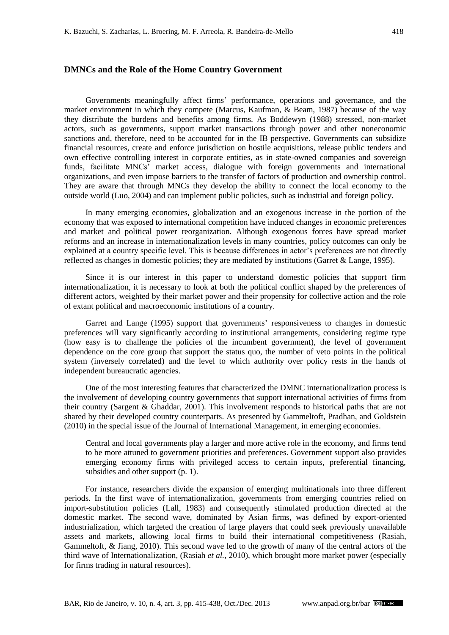## **DMNCs and the Role of the Home Country Government**

Governments meaningfully affect firms' performance, operations and governance, and the market environment in which they compete [\(Marcus, Kaufman,](#page-19-1) & Beam*,* 1987) because of the way they distribute the burdens and benefits among firms. As [Boddewyn \(1988\)](#page-17-1) stressed, non-market actors, such as governments, support market transactions through power and other noneconomic sanctions and, therefore, need to be accounted for in the IB perspective. Governments can subsidize financial resources, create and enforce jurisdiction on hostile acquisitions, release public tenders and own effective controlling interest in corporate entities, as in state-owned companies and sovereign funds, facilitate MNCs' market access, dialogue with foreign governments and international organizations, and even impose barriers to the transfer of factors of production and ownership control. They are aware that through MNCs they develop the ability to connect the local economy to the outside world [\(Luo, 2004\)](#page-19-2) and can implement public policies, such as industrial and foreign policy.

In many emerging economies, globalization and an exogenous increase in the portion of the economy that was exposed to international competition have induced changes in economic preferences and market and political power reorganization. Although exogenous forces have spread market reforms and an increase in internationalization levels in many countries, policy outcomes can only be explained at a country specific level. This is because differences in actor's preferences are not directly reflected as changes in domestic policies; they are mediated by institutions (Garret & [Lange, 1995\)](#page-18-2).

Since it is our interest in this paper to understand domestic policies that support firm internationalization, it is necessary to look at both the political conflict shaped by the preferences of different actors, weighted by their market power and their propensity for collective action and the role of extant political and macroeconomic institutions of a country.

[Garret and Lange \(1995\)](#page-18-2) support that governments' responsiveness to changes in domestic preferences will vary significantly according to institutional arrangements, considering regime type (how easy is to challenge the policies of the incumbent government), the level of government dependence on the core group that support the status quo, the number of veto points in the political system (inversely correlated) and the level to which authority over policy rests in the hands of independent bureaucratic agencies.

One of the most interesting features that characterized the DMNC internationalization process is the involvement of developing country governments that support international activities of firms from their country [\(Sargent & Ghaddar, 2001\)](#page-20-4). This involvement responds to historical paths that are not shared by their developed country counterparts. As presented by [Gammeltoft, Pradhan, and Goldstein](#page-18-3) [\(2010\)](#page-18-3) in the special issue of the Journal of International Management, in emerging economies.

Central and local governments play a larger and more active role in the economy, and firms tend to be more attuned to government priorities and preferences. Government support also provides emerging economy firms with privileged access to certain inputs, preferential financing, subsidies and other support (p. 1).

For instance, researchers divide the expansion of emerging multinationals into three different periods. In the first wave of internationalization, governments from emerging countries relied on import-substitution policies [\(Lall, 1983\)](#page-19-3) and consequently stimulated production directed at the domestic market. The second wave, dominated by Asian firms, was defined by export-oriented industrialization, which targeted the creation of large players that could seek previously unavailable assets and markets, allowing local firms to build their international competitiveness [\(Rasiah,](#page-20-5)  Gammeltoft, [& Jiang, 2010\)](#page-20-5). This second wave led to the growth of many of the central actors of the third wave of Internationalization, [\(Rasiah](#page-20-5) *et al.*, 2010), which brought more market power (especially for firms trading in natural resources).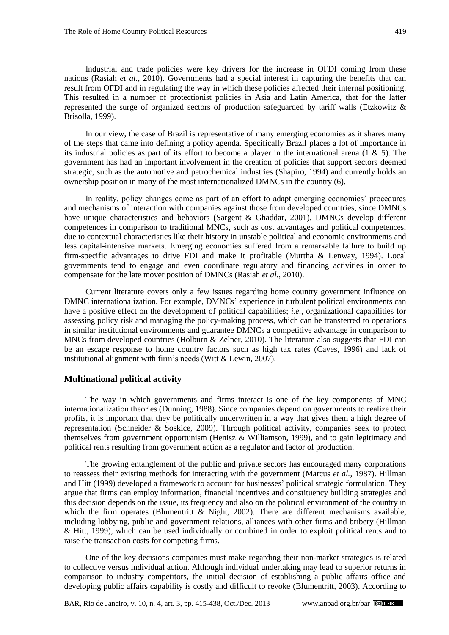Industrial and trade policies were key drivers for the increase in OFDI coming from these nations [\(Rasiah](#page-20-5) *et al.*, 2010). Governments had a special interest in capturing the benefits that can result from OFDI and in regulating the way in which these policies affected their internal positioning. This resulted in a number of protectionist policies in Asia and Latin America, that for the latter represented the surge of organized sectors of production safeguarded by tariff walls [\(Etzkowitz](#page-18-4) & [Brisolla, 1999\)](#page-18-4).

In our view, the case of Brazil is representative of many emerging economies as it shares many of the steps that came into defining a policy agenda. Specifically Brazil places a lot of importance in its industrial policies as part of its effort to become a player in the international arena  $(1 \& 5)$ . The government has had an important involvement in the creation of policies that support sectors deemed strategic, such as the automotive and petrochemical industries [\(Shapiro, 1994\)](#page-20-6) and currently holds an ownership position in many of the most internationalized DMNCs in the country (6).

In reality, policy changes come as part of an effort to adapt emerging economies' procedures and mechanisms of interaction with companies against those from developed countries, since DMNCs have unique characteristics and behaviors [\(Sargent & Ghaddar, 2001\)](#page-20-4). DMNCs develop different competences in comparison to traditional MNCs, such as cost advantages and political competences, due to contextual characteristics like their history in unstable political and economic environments and less capital-intensive markets. Emerging economies suffered from a remarkable failure to build up firm-specific advantages to drive FDI and make it profitable [\(Murtha & Lenway, 1994\)](#page-19-4). Local governments tend to engage and even coordinate regulatory and financing activities in order to compensate for the late mover position of DMNCs [\(Rasiah](#page-20-5) *et al.*, 2010).

Current literature covers only a few issues regarding home country government influence on DMNC internationalization. For example, DMNCs' experience in turbulent political environments can have a positive effect on the development of political capabilities; *i.e.*, organizational capabilities for assessing policy risk and managing the policy-making process, which can be transferred to operations in similar institutional environments and guarantee DMNCs a competitive advantage in comparison to MNCs from developed countries [\(Holburn & Zelner, 2010\)](#page-19-0). The literature also suggests that FDI can be an escape response to home country factors such as high tax rates [\(Caves, 1996\)](#page-18-5) and lack of institutional alignment with firm's needs [\(Witt & Lewin, 2007\)](#page-20-7).

## **Multinational political activity**

The way in which governments and firms interact is one of the key components of MNC internationalization theories [\(Dunning,](#page-18-6) 1988). Since companies depend on governments to realize their profits, it is important that they be politically underwritten in a way that gives them a high degree of representation [\(Schneider & Soskice, 2009\)](#page-20-3). Through political activity, companies seek to protect themselves from government opportunism (Henisz  $\&$  Williamson, 1999), and to gain legitimacy and political rents resulting from government action as a regulator and factor of production.

The growing entanglement of the public and private sectors has encouraged many corporations to reassess their existing methods for interacting with the government [\(Marcus](#page-19-1) *et al.*, 1987). [Hillman](#page-19-5)  [and Hitt \(1999\)](#page-19-5) developed a framework to account for businesses' political strategic formulation. They argue that firms can employ information, financial incentives and constituency building strategies and this decision depends on the issue, its frequency and also on the political environment of the country in which the firm operates (Blumentritt  $\&$  Night, 2002). There are different mechanisms available, including lobbying, public and government relations, alliances with other firms and bribery [\(Hillman](#page-19-5)  [& Hitt,](#page-19-5) 1999), which can be used individually or combined in order to exploit political rents and to raise the transaction costs for competing firms.

One of the key decisions companies must make regarding their non-market strategies is related to collective versus individual action. Although individual undertaking may lead to superior returns in comparison to industry competitors, the initial decision of establishing a public affairs office and developing public affairs capability is costly and difficult to revoke [\(Blumentritt,](#page-17-2) 2003). According to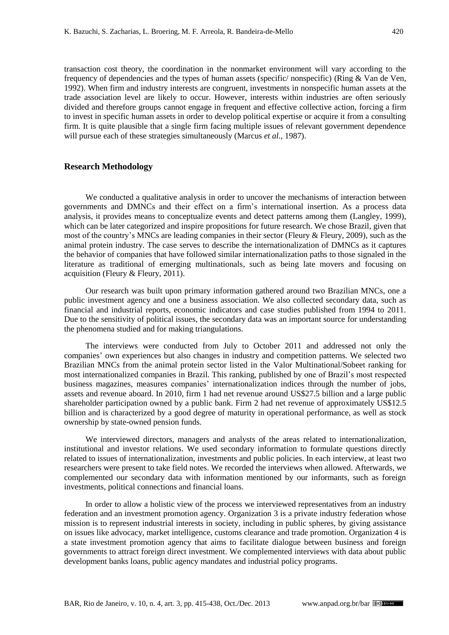transaction cost theory, the coordination in the nonmarket environment will vary according to the frequency of dependencies and the types of human assets (specific/ nonspecific) (Ring & [Van de Ven,](#page-20-8) [1992\)](#page-20-8). When firm and industry interests are congruent, investments in nonspecific human assets at the trade association level are likely to occur. However, interests within industries are often seriously divided and therefore groups cannot engage in frequent and effective collective action, forcing a firm to invest in specific human assets in order to develop political expertise or acquire it from a consulting firm. It is quite plausible that a single firm facing multiple issues of relevant government dependence will pursue each of these strategies simultaneously [\(Marcus](#page-19-1) *et al.*, 1987).

#### **Research Methodology**

We conducted a qualitative analysis in order to uncover the mechanisms of interaction between governments and DMNCs and their effect on a firm's international insertion. As a process data analysis, it provides means to conceptualize events and detect patterns among them [\(Langley, 1999\)](#page-19-6), which can be later categorized and inspire propositions for future research. We chose Brazil, given that most of the country's MNCs are leading companies in their sector [\(Fleury & Fleury, 2009\)](#page-18-8), such as the animal protein industry. The case serves to describe the internationalization of DMNCs as it captures the behavior of companies that have followed similar internationalization paths to those signaled in the literature as traditional of emerging multinationals, such as being late movers and focusing on acquisition [\(Fleury & Fleury, 2011\)](#page-18-9).

Our research was built upon primary information gathered around two Brazilian MNCs, one a public investment agency and one a business association. We also collected secondary data, such as financial and industrial reports, economic indicators and case studies published from 1994 to 2011. Due to the sensitivity of political issues, the secondary data was an important source for understanding the phenomena studied and for making triangulations.

The interviews were conducted from July to October 2011 and addressed not only the companies' own experiences but also changes in industry and competition patterns. We selected two Brazilian MNCs from the animal protein sector listed in the Valor Multinational/Sobeet ranking for most internationalized companies in Brazil. This ranking, published by one of Brazil's most respected business magazines, measures companies' internationalization indices through the number of jobs, assets and revenue aboard. In 2010, firm 1 had net revenue around US\$27.5 billion and a large public shareholder participation owned by a public bank. Firm 2 had net revenue of approximately US\$12.5 billion and is characterized by a good degree of maturity in operational performance, as well as stock ownership by state-owned pension funds.

We interviewed directors, managers and analysts of the areas related to internationalization, institutional and investor relations. We used secondary information to formulate questions directly related to issues of internationalization, investments and public policies. In each interview, at least two researchers were present to take field notes. We recorded the interviews when allowed. Afterwards, we complemented our secondary data with information mentioned by our informants, such as foreign investments, political connections and financial loans.

In order to allow a holistic view of the process we interviewed representatives from an industry federation and an investment promotion agency. Organization 3 is a private industry federation whose mission is to represent industrial interests in society, including in public spheres, by giving assistance on issues like advocacy, market intelligence, customs clearance and trade promotion. Organization 4 is a state investment promotion agency that aims to facilitate dialogue between business and foreign governments to attract foreign direct investment. We complemented interviews with data about public development banks loans, public agency mandates and industrial policy programs.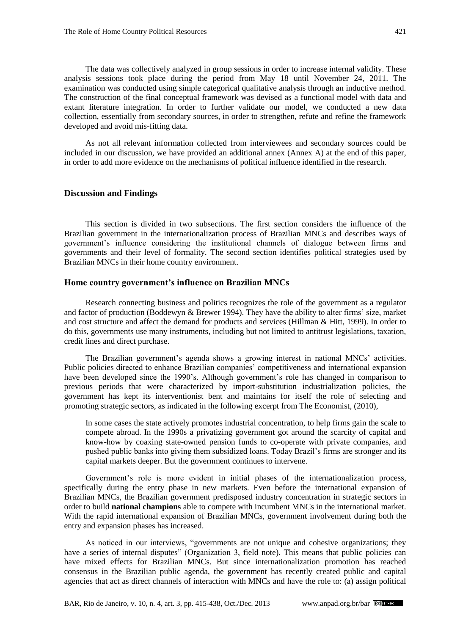The data was collectively analyzed in group sessions in order to increase internal validity. These analysis sessions took place during the period from May 18 until November 24, 2011. The examination was conducted using simple categorical qualitative analysis through an inductive method. The construction of the final conceptual framework was devised as a functional model with data and extant literature integration. In order to further validate our model, we conducted a new data collection, essentially from secondary sources, in order to strengthen, refute and refine the framework developed and avoid mis-fitting data.

As not all relevant information collected from interviewees and secondary sources could be included in our discussion, we have provided an additional annex (Annex A) at the end of this paper, in order to add more evidence on the mechanisms of political influence identified in the research.

## **Discussion and Findings**

This section is divided in two subsections. The first section considers the influence of the Brazilian government in the internationalization process of Brazilian MNCs and describes ways of government's influence considering the institutional channels of dialogue between firms and governments and their level of formality. The second section identifies political strategies used by Brazilian MNCs in their home country environment.

## **Home country government's influence on Brazilian MNCs**

Research connecting business and politics recognizes the role of the government as a regulator and factor of production [\(Boddewyn & Brewer 1994\)](#page-17-3). They have the ability to alter firms' size, market and cost structure and affect the demand for products and services [\(Hillman & Hitt, 1999\)](#page-19-5). In order to do this, governments use many instruments, including but not limited to antitrust legislations, taxation, credit lines and direct purchase.

The Brazilian government's agenda shows a growing interest in national MNCs' activities. Public policies directed to enhance Brazilian companies' competitiveness and international expansion have been developed since the 1990's. Although government's role has changed in comparison to previous periods that were characterized by import-substitution industrialization policies, the government has kept its interventionist bent and maintains for itself the role of selecting and promoting strategic sectors, as indicated in the following excerpt from [The Economist, \(2010\),](#page-20-9)

In some cases the state actively promotes industrial concentration, to help firms gain the scale to compete abroad. In the 1990s a privatizing government got around the scarcity of capital and know-how by coaxing state-owned pension funds to co-operate with private companies, and pushed public banks into giving them subsidized loans. Today Brazil's firms are stronger and its capital markets deeper. But the government continues to intervene.

Government's role is more evident in initial phases of the internationalization process, specifically during the entry phase in new markets. Even before the international expansion of Brazilian MNCs, the Brazilian government predisposed industry concentration in strategic sectors in order to build **national champions** able to compete with incumbent MNCs in the international market. With the rapid international expansion of Brazilian MNCs, government involvement during both the entry and expansion phases has increased.

As noticed in our interviews, "governments are not unique and cohesive organizations; they have a series of internal disputes" (Organization 3, field note). This means that public policies can have mixed effects for Brazilian MNCs. But since internationalization promotion has reached consensus in the Brazilian public agenda, the government has recently created public and capital agencies that act as direct channels of interaction with MNCs and have the role to: (a) assign political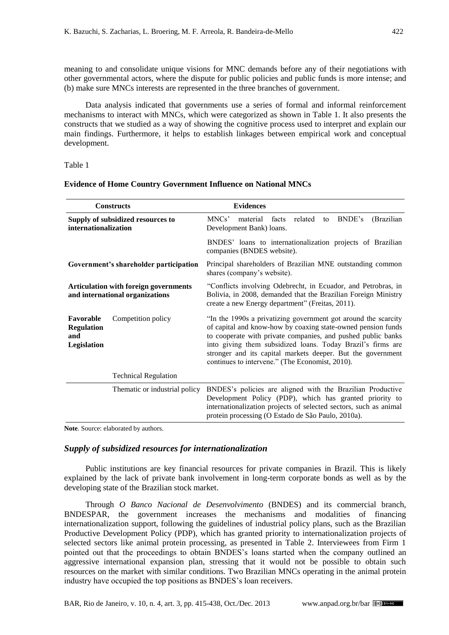meaning to and consolidate unique visions for MNC demands before any of their negotiations with other governmental actors, where the dispute for public policies and public funds is more intense; and (b) make sure MNCs interests are represented in the three branches of government.

Data analysis indicated that governments use a series of formal and informal reinforcement mechanisms to interact with MNCs, which were categorized as shown in Table 1. It also presents the constructs that we studied as a way of showing the cognitive process used to interpret and explain our main findings. Furthermore, it helps to establish linkages between empirical work and conceptual development.

#### Table 1

#### **Evidence of Home Country Government Influence on National MNCs**

| <b>Constructs</b>                                                               | <b>Evidences</b>                                                                                                                                                                                                                                                                                                                                                                |  |  |  |  |  |
|---------------------------------------------------------------------------------|---------------------------------------------------------------------------------------------------------------------------------------------------------------------------------------------------------------------------------------------------------------------------------------------------------------------------------------------------------------------------------|--|--|--|--|--|
| Supply of subsidized resources to<br>internationalization                       | MNCs'<br>BNDE's<br>(Brazilian<br>material<br>facts<br>related<br>to<br>Development Bank) loans.                                                                                                                                                                                                                                                                                 |  |  |  |  |  |
|                                                                                 | BNDES' loans to internationalization projects of Brazilian<br>companies (BNDES website).                                                                                                                                                                                                                                                                                        |  |  |  |  |  |
| Government's shareholder participation                                          | Principal shareholders of Brazilian MNE outstanding common<br>shares (company's website).                                                                                                                                                                                                                                                                                       |  |  |  |  |  |
| <b>Articulation with foreign governments</b><br>and international organizations | "Conflicts involving Odebrecht, in Ecuador, and Petrobras, in<br>Bolivia, in 2008, demanded that the Brazilian Foreign Ministry<br>create a new Energy department" (Freitas, 2011).                                                                                                                                                                                             |  |  |  |  |  |
| Favorable<br>Competition policy<br><b>Regulation</b><br>and<br>Legislation      | "In the 1990s a privatizing government got around the scarcity<br>of capital and know-how by coaxing state-owned pension funds<br>to cooperate with private companies, and pushed public banks<br>into giving them subsidized loans. Today Brazil's firms are<br>stronger and its capital markets deeper. But the government<br>continues to intervene." (The Economist, 2010). |  |  |  |  |  |
| <b>Technical Regulation</b>                                                     |                                                                                                                                                                                                                                                                                                                                                                                 |  |  |  |  |  |
| Thematic or industrial policy                                                   | BNDES's policies are aligned with the Brazilian Productive<br>Development Policy (PDP), which has granted priority to<br>internationalization projects of selected sectors, such as animal<br>protein processing (O Estado de São Paulo, 2010a).                                                                                                                                |  |  |  |  |  |

**Note**. Source: elaborated by authors.

## *Supply of subsidized resources for internationalization*

Public institutions are key financial resources for private companies in Brazil. This is likely explained by the lack of private bank involvement in long-term corporate bonds as well as by the developing state of the Brazilian stock market.

Through *O Banco Nacional de Desenvolvimento* (BNDES) and its commercial branch, BNDESPAR, the government increases the mechanisms and modalities of financing internationalization support, following the guidelines of industrial policy plans, such as the Brazilian Productive Development Policy (PDP), which has granted priority to internationalization projects of selected sectors like animal protein processing, as presented in Table 2. Interviewees from Firm 1 pointed out that the proceedings to obtain BNDES's loans started when the company outlined an aggressive international expansion plan, stressing that it would not be possible to obtain such resources on the market with similar conditions. Two Brazilian MNCs operating in the animal protein industry have occupied the top positions as BNDES's loan receivers.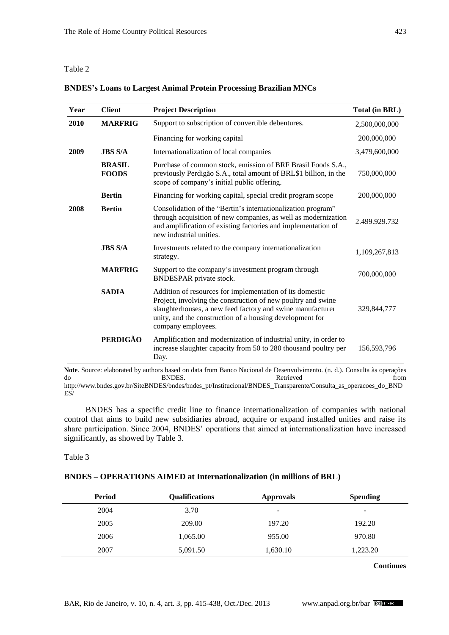#### Table 2

| Year | <b>Client</b>                 | <b>Project Description</b>                                                                                                                                                                                                                                               | <b>Total (in BRL)</b> |
|------|-------------------------------|--------------------------------------------------------------------------------------------------------------------------------------------------------------------------------------------------------------------------------------------------------------------------|-----------------------|
| 2010 | <b>MARFRIG</b>                | Support to subscription of convertible debentures.                                                                                                                                                                                                                       | 2,500,000,000         |
|      |                               | Financing for working capital                                                                                                                                                                                                                                            | 200,000,000           |
| 2009 | <b>JBS S/A</b>                | Internationalization of local companies                                                                                                                                                                                                                                  | 3,479,600,000         |
|      | <b>BRASIL</b><br><b>FOODS</b> | Purchase of common stock, emission of BRF Brasil Foods S.A.,<br>previously Perdigão S.A., total amount of BRL\$1 billion, in the<br>scope of company's initial public offering.                                                                                          | 750,000,000           |
|      | <b>Bertin</b>                 | Financing for working capital, special credit program scope                                                                                                                                                                                                              | 200,000,000           |
| 2008 | <b>Bertin</b>                 | Consolidation of the "Bertin's internationalization program"<br>through acquisition of new companies, as well as modernization<br>and amplification of existing factories and implementation of<br>new industrial unities.                                               | 2.499.929.732         |
|      | <b>JBS S/A</b>                | Investments related to the company internationalization<br>strategy.                                                                                                                                                                                                     | 1,109,267,813         |
|      | <b>MARFRIG</b>                | Support to the company's investment program through<br>BNDESPAR private stock.                                                                                                                                                                                           | 700,000,000           |
|      | <b>SADIA</b>                  | Addition of resources for implementation of its domestic<br>Project, involving the construction of new poultry and swine<br>slaughterhouses, a new feed factory and swine manufacturer<br>unity, and the construction of a housing development for<br>company employees. | 329,844,777           |
|      | <b>PERDIGÃO</b>               | Amplification and modernization of industrial unity, in order to<br>increase slaughter capacity from 50 to 280 thousand poultry per<br>Day.                                                                                                                              | 156,593,796           |

## **BNDES's Loans to Largest Animal Protein Processing Brazilian MNCs**

do BNDES. Retrieved from http://www.bndes.gov.br/SiteBNDES/bndes/bndes\_pt/Institucional/BNDES\_Transparente/Consulta\_as\_operacoes\_do\_BND ES/

BNDES has a specific credit line to finance internationalization of companies with national control that aims to build new subsidiaries abroad, acquire or expand installed unities and raise its share participation. Since 2004, BNDES' operations that aimed at internationalization have increased significantly, as showed by Table 3.

#### Table 3

## **BNDES – OPERATIONS AIMED at Internationalization (in millions of BRL)**

| Period | <b>Qualifications</b> | <b>Approvals</b>         | <b>Spending</b> |
|--------|-----------------------|--------------------------|-----------------|
| 2004   | 3.70                  | $\overline{\phantom{0}}$ | -               |
| 2005   | 209.00                | 197.20                   | 192.20          |
| 2006   | 1,065.00              | 955.00                   | 970.80          |
| 2007   | 5,091.50              | 1,630.10                 | 1,223.20        |

**Continues**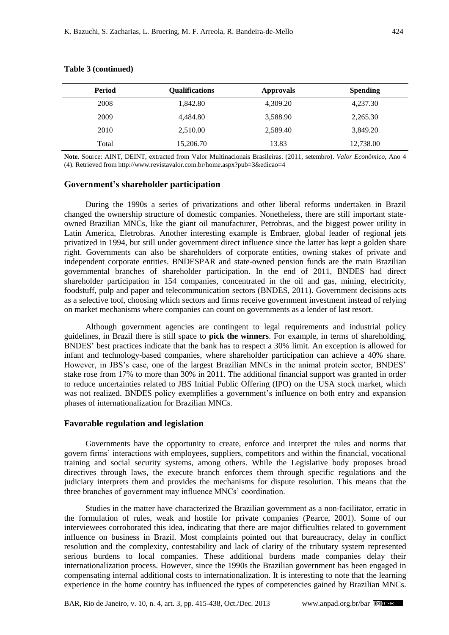| Period | <b>Oualifications</b> | <b>Approvals</b> | <b>Spending</b> |
|--------|-----------------------|------------------|-----------------|
| 2008   | 1,842.80              | 4,309.20         | 4,237.30        |
| 2009   | 4,484.80              | 3,588.90         | 2,265.30        |
| 2010   | 2,510.00              | 2.589.40         | 3,849.20        |
| Total  | 15,206.70             | 13.83            | 12,738.00       |

#### **Table 3 (continued)**

**Note**. Source: AINT, DEINT, extracted from [Valor Multinacionais Brasileiras. \(2011, setembro\).](#page-20-10) *Valor Econômico*, Ano 4 (4). Retrieved from http://www.revistavalor.com.br/home.aspx?pub=3&edicao=4

#### **Government's shareholder participation**

During the 1990s a series of privatizations and other liberal reforms undertaken in Brazil changed the ownership structure of domestic companies. Nonetheless, there are still important stateowned Brazilian MNCs, like the giant oil manufacturer, Petrobras, and the biggest power utility in Latin America, Eletrobras. Another interesting example is Embraer, global leader of regional jets privatized in 1994, but still under government direct influence since the latter has kept a golden share right. Governments can also be shareholders of corporate entities, owning stakes of private and independent corporate entities. BNDESPAR and state-owned pension funds are the main Brazilian governmental branches of shareholder participation. In the end of 2011, BNDES had direct shareholder participation in 154 companies, concentrated in the oil and gas, mining, electricity, foodstuff, pulp and paper and telecommunication sectors [\(BNDES, 2011\)](#page-19-9). Government decisions acts as a selective tool, choosing which sectors and firms receive government investment instead of relying on market mechanisms where companies can count on governments as a lender of last resort.

Although government agencies are contingent to legal requirements and industrial policy guidelines, in Brazil there is still space to **pick the winners**. For example, in terms of shareholding, BNDES' best practices indicate that the bank has to respect a 30% limit. An exception is allowed for infant and technology-based companies, where shareholder participation can achieve a 40% share. However, in JBS's case, one of the largest Brazilian MNCs in the animal protein sector, BNDES' stake rose from 17% to more than 30% in 2011. The additional financial support was granted in order to reduce uncertainties related to JBS Initial Public Offering (IPO) on the USA stock market, which was not realized. BNDES policy exemplifies a government's influence on both entry and expansion phases of internationalization for Brazilian MNCs.

#### **Favorable regulation and legislation**

Governments have the opportunity to create, enforce and interpret the rules and norms that govern firms' interactions with employees, suppliers, competitors and within the financial, vocational training and social security systems, among others. While the Legislative body proposes broad directives through laws, the execute branch enforces them through specific regulations and the judiciary interprets them and provides the mechanisms for dispute resolution. This means that the three branches of government may influence MNCs' coordination.

Studies in the matter have characterized the Brazilian government as a non-facilitator, erratic in the formulation of rules, weak and hostile for private companies [\(Pearce, 2001\)](#page-20-11). Some of our interviewees corroborated this idea, indicating that there are major difficulties related to government influence on business in Brazil. Most complaints pointed out that bureaucracy, delay in conflict resolution and the complexity, contestability and lack of clarity of the tributary system represented serious burdens to local companies. These additional burdens made companies delay their internationalization process. However, since the 1990s the Brazilian government has been engaged in compensating internal additional costs to internationalization. It is interesting to note that the learning experience in the home country has influenced the types of competencies gained by Brazilian MNCs.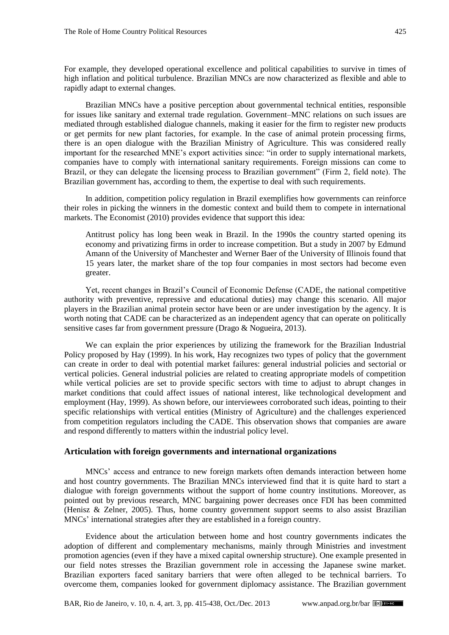For example, they developed operational excellence and political capabilities to survive in times of high inflation and political turbulence. Brazilian MNCs are now characterized as flexible and able to rapidly adapt to external changes.

Brazilian MNCs have a positive perception about governmental technical entities, responsible for issues like sanitary and external trade regulation. Government–MNC relations on such issues are mediated through established dialogue channels, making it easier for the firm to register new products or get permits for new plant factories, for example. In the case of animal protein processing firms, there is an open dialogue with the Brazilian Ministry of Agriculture. This was considered really important for the researched MNE's export activities since: "in order to supply international markets, companies have to comply with international sanitary requirements. Foreign missions can come to Brazil, or they can delegate the licensing process to Brazilian government" (Firm 2, field note). The Brazilian government has, according to them, the expertise to deal with such requirements.

In addition, competition policy regulation in Brazil exemplifies how governments can reinforce their roles in picking the winners in the domestic context and build them to compete in international markets. [The Economist](#page-20-9) (2010) provides evidence that support this idea:

Antitrust policy has long been weak in Brazil. In the 1990s the country started opening its economy and privatizing firms in order to increase competition. But a study in 2007 by Edmund Amann of the University of Manchester and Werner Baer of the University of Illinois found that 15 years later, the market share of the top four companies in most sectors had become even greater.

Yet, recent changes in Brazil's Council of Economic Defense (CADE, the national competitive authority with preventive, repressive and educational duties) may change this scenario. All major players in the Brazilian animal protein sector have been or are under investigation by the agency. It is worth noting that CADE can be characterized as an independent agency that can operate on politically sensitive cases far from government pressure [\(Drago & Nogueira, 2013\)](#page-18-11).

We can explain the prior experiences by utilizing the framework for the Brazilian Industrial Policy proposed by Hay [\(1999\).](#page-18-12) In his work, Hay recognizes two types of policy that the government can create in order to deal with potential market failures: general industrial policies and sectorial or vertical policies. General industrial policies are related to creating appropriate models of competition while vertical policies are set to provide specific sectors with time to adjust to abrupt changes in market conditions that could affect issues of national interest, like technological development and employment [\(Hay, 1999\)](#page-18-12). As shown before, our interviewees corroborated such ideas, pointing to their specific relationships with vertical entities (Ministry of Agriculture) and the challenges experienced from competition regulators including the CADE. This observation shows that companies are aware and respond differently to matters within the industrial policy level.

## **Articulation with foreign governments and international organizations**

MNCs' access and entrance to new foreign markets often demands interaction between home and host country governments. The Brazilian MNCs interviewed find that it is quite hard to start a dialogue with foreign governments without the support of home country institutions. Moreover, as pointed out by previous research, MNC bargaining power decreases once FDI has been committed [\(Henisz & Zelner, 2005\)](#page-18-13). Thus, home country government support seems to also assist Brazilian MNCs' international strategies after they are established in a foreign country.

Evidence about the articulation between home and host country governments indicates the adoption of different and complementary mechanisms, mainly through Ministries and investment promotion agencies (even if they have a mixed capital ownership structure). One example presented in our field notes stresses the Brazilian government role in accessing the Japanese swine market. Brazilian exporters faced sanitary barriers that were often alleged to be technical barriers. To overcome them, companies looked for government diplomacy assistance. The Brazilian government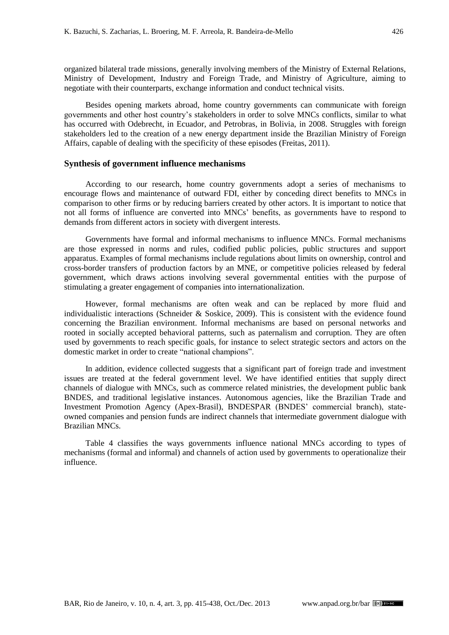organized bilateral trade missions, generally involving members of the Ministry of External Relations, Ministry of Development, Industry and Foreign Trade, and Ministry of Agriculture, aiming to negotiate with their counterparts, exchange information and conduct technical visits.

Besides opening markets abroad, home country governments can communicate with foreign governments and other host country's stakeholders in order to solve MNCs conflicts, similar to what has occurred with Odebrecht, in Ecuador, and Petrobras, in Bolivia, in 2008. Struggles with foreign stakeholders led to the creation of a new energy department inside the Brazilian Ministry of Foreign Affairs, capable of dealing with the specificity of these episodes [\(Freitas, 2011\)](#page-18-10).

#### **Synthesis of government influence mechanisms**

According to our research, home country governments adopt a series of mechanisms to encourage flows and maintenance of outward FDI, either by conceding direct benefits to MNCs in comparison to other firms or by reducing barriers created by other actors. It is important to notice that not all forms of influence are converted into MNCs' benefits, as governments have to respond to demands from different actors in society with divergent interests.

Governments have formal and informal mechanisms to influence MNCs. Formal mechanisms are those expressed in norms and rules, codified public policies, public structures and support apparatus. Examples of formal mechanisms include regulations about limits on ownership, control and cross-border transfers of production factors by an MNE, or competitive policies released by federal government, which draws actions involving several governmental entities with the purpose of stimulating a greater engagement of companies into internationalization.

However, formal mechanisms are often weak and can be replaced by more fluid and individualistic interactions (Schneider [& Soskice,](#page-20-3) 2009). This is consistent with the evidence found concerning the Brazilian environment. Informal mechanisms are based on personal networks and rooted in socially accepted behavioral patterns, such as paternalism and corruption. They are often used by governments to reach specific goals, for instance to select strategic sectors and actors on the domestic market in order to create "national champions".

In addition, evidence collected suggests that a significant part of foreign trade and investment issues are treated at the federal government level. We have identified entities that supply direct channels of dialogue with MNCs, such as commerce related ministries, the development public bank BNDES, and traditional legislative instances. Autonomous agencies, like the Brazilian Trade and Investment Promotion Agency (Apex-Brasil), BNDESPAR (BNDES' commercial branch), stateowned companies and pension funds are indirect channels that intermediate government dialogue with Brazilian MNCs.

Table 4 classifies the ways governments influence national MNCs according to types of mechanisms (formal and informal) and channels of action used by governments to operationalize their influence.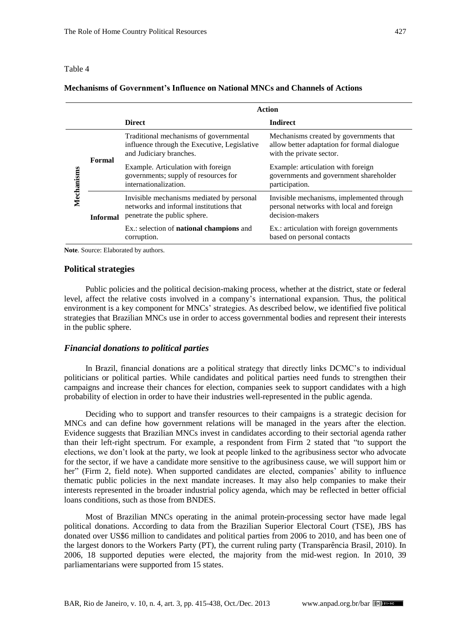#### Table 4

## **Mechanisms of Government's Influence on National MNCs and Channels of Actions**

|            |                 | <b>Action</b>                                                                                                        |                                                                                                                   |  |  |  |
|------------|-----------------|----------------------------------------------------------------------------------------------------------------------|-------------------------------------------------------------------------------------------------------------------|--|--|--|
|            |                 | <b>Direct</b>                                                                                                        | <b>Indirect</b>                                                                                                   |  |  |  |
| Mechanisms | Formal          | Traditional mechanisms of governmental<br>influence through the Executive, Legislative<br>and Judiciary branches.    | Mechanisms created by governments that<br>allow better adaptation for formal dialogue<br>with the private sector. |  |  |  |
|            |                 | Example. Articulation with foreign<br>governments; supply of resources for<br>internationalization.                  | Example: articulation with foreign<br>governments and government shareholder<br>participation.                    |  |  |  |
|            | <b>Informal</b> | Invisible mechanisms mediated by personal<br>networks and informal institutions that<br>penetrate the public sphere. | Invisible mechanisms, implemented through<br>personal networks with local and foreign<br>decision-makers          |  |  |  |
|            |                 | Ex.: selection of <b>national champions</b> and<br>corruption.                                                       | Ex.: articulation with foreign governments<br>based on personal contacts                                          |  |  |  |

**Note**. Source: Elaborated by authors.

#### **Political strategies**

Public policies and the political decision-making process, whether at the district, state or federal level, affect the relative costs involved in a company's international expansion. Thus, the political environment is a key component for MNCs' strategies. As described below, we identified five political strategies that Brazilian MNCs use in order to access governmental bodies and represent their interests in the public sphere.

#### *Financial donations to political parties*

In Brazil, financial donations are a political strategy that directly links DCMC's to individual politicians or political parties. While candidates and political parties need funds to strengthen their campaigns and increase their chances for election, companies seek to support candidates with a high probability of election in order to have their industries well-represented in the public agenda.

Deciding who to support and transfer resources to their campaigns is a strategic decision for MNCs and can define how government relations will be managed in the years after the election. Evidence suggests that Brazilian MNCs invest in candidates according to their sectorial agenda rather than their left-right spectrum. For example, a respondent from Firm 2 stated that "to support the elections, we don't look at the party, we look at people linked to the agribusiness sector who advocate for the sector, if we have a candidate more sensitive to the agribusiness cause, we will support him or her" (Firm 2, field note). When supported candidates are elected, companies' ability to influence thematic public policies in the next mandate increases. It may also help companies to make their interests represented in the broader industrial policy agenda, which may be reflected in better official loans conditions, such as those from BNDES.

Most of Brazilian MNCs operating in the animal protein-processing sector have made legal political donations. According to data from the Brazilian Superior Electoral Court (TSE), JBS has donated over US\$6 million to candidates and political parties from 2006 to 2010, and has been one of the largest donors to the Workers Party (PT), the current ruling party [\(Transparência Brasil, 2010\)](#page-20-12). In 2006, 18 supported deputies were elected, the majority from the mid-west region. In 2010, 39 parliamentarians were supported from 15 states.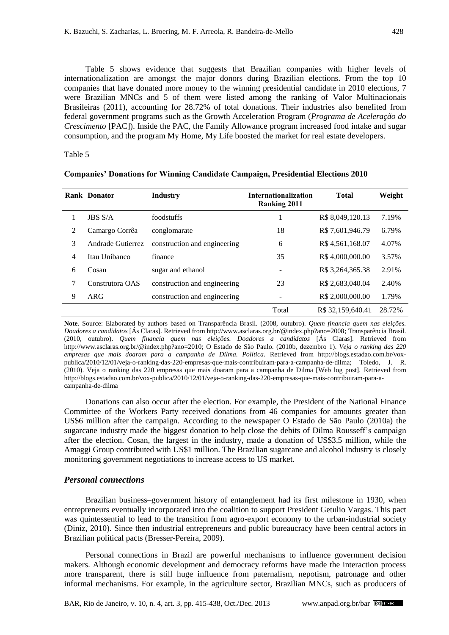Table 5 shows evidence that suggests that Brazilian companies with higher levels of internationalization are amongst the major donors during Brazilian elections. From the top 10 companies that have donated more money to the winning presidential candidate in 2010 elections, 7 were Brazilian MNCs and 5 of them were listed among the ranking of [Valor Multinacionais](#page-20-10)  [Brasileiras](#page-20-10) (2011), accounting for 28.72% of total donations. Their industries also benefited from federal government programs such as the Growth Acceleration Program (*Programa de Aceleração do Crescimento* [PAC]). Inside the PAC, the Family Allowance program increased food intake and sugar consumption, and the program My Home, My Life boosted the market for real estate developers.

#### Table 5

|   | <b>Rank Donator</b> | <b>Industry</b>              | <b>Internationalization</b><br><b>Ranking 2011</b> | <b>Total</b>      | Weight |
|---|---------------------|------------------------------|----------------------------------------------------|-------------------|--------|
|   | <b>JBS S/A</b>      | foodstuffs                   |                                                    | R\$ 8,049,120.13  | 7.19%  |
| 2 | Camargo Corrêa      | conglomarate                 | 18                                                 | R\$ 7,601,946.79  | 6.79%  |
| 3 | Andrade Gutierrez   | construction and engineering | 6                                                  | R\$4,561,168.07   | 4.07%  |
| 4 | Itau Unibanco       | finance                      | 35                                                 | R\$4,000,000.00   | 3.57%  |
| 6 | Cosan               | sugar and ethanol            | $\overline{\phantom{a}}$                           | R\$ 3,264,365.38  | 2.91%  |
| 7 | Construtora OAS     | construction and engineering | 23                                                 | R\$ 2,683,040.04  | 2.40%  |
| 9 | ARG                 | construction and engineering |                                                    | R\$ 2,000,000.00  | 1.79%  |
|   |                     |                              | Total                                              | R\$ 32,159,640.41 | 28.72% |

|  | <b>Companies' Donations for Winning Candidate Campaign, Presidential Elections 2010</b> |  |  |  |  |  |  |
|--|-----------------------------------------------------------------------------------------|--|--|--|--|--|--|
|--|-----------------------------------------------------------------------------------------|--|--|--|--|--|--|

**Note**. Source: Elaborated by authors based on [Transparência Brasil. \(2008, outubro\).](#page-20-13) *Quem financia quem nas eleições. Doadores a candidatos* [Ás Claras]. Retrieved from http://www.asclaras.org.br/@index.php?ano=2008; [Transparência Brasil.](#page-20-12)  [\(2010, outubro\).](#page-20-12) *Quem financia quem nas eleições. Doadores a candidatos* [Ás Claras]. Retrieved from http://www.asclaras.org.br/@index.php?ano=2010; [O Estado de São Paulo. \(2010b, dezembro 1\).](#page-19-10) *Veja o ranking das 220 empresas que mais doaram para a campanha de Dilma. Política*. Retrieved from http://blogs.estadao.com.br/voxpublica/2010/12/01/veja-o-ranking-das-220-empresas-que-mais-contribuiram-para-a-campanha-de-dilma; [Toledo, J. R.](#page-20-14)  [\(2010\).](#page-20-14) Veja o ranking das 220 empresas que mais doaram para a campanha de Dilma [Web log post]. Retrieved from http://blogs.estadao.com.br/vox-publica/2010/12/01/veja-o-ranking-das-220-empresas-que-mais-contribuiram-para-acampanha-de-dilma

Donations can also occur after the election. For example, the President of the National Finance Committee of the Workers Party received donations from 46 companies for amounts greater than US\$6 million after the campaign. According to the newspaper [O Estado de São Paulo](#page-19-7) (2010a) the sugarcane industry made the biggest donation to help close the debits of Dilma Rousseff's campaign after the election. Cosan, the largest in the industry, made a donation of US\$3.5 million, while the Amaggi Group contributed with US\$1 million. The Brazilian sugarcane and alcohol industry is closely monitoring government negotiations to increase access to US market.

#### *Personal connections*

Brazilian business–government history of entanglement had its first milestone in 1930, when entrepreneurs eventually incorporated into the coalition to support President Getulio Vargas. This pact was quintessential to lead to the transition from agro-export economy to the urban-industrial society [\(Diniz, 2010\)](#page-18-14). Since then industrial entrepreneurs and public bureaucracy have been central actors in Brazilian political pacts [\(Bresser-Pereira, 2009\)](#page-17-4).

Personal connections in Brazil are powerful mechanisms to influence government decision makers. Although economic development and democracy reforms have made the interaction process more transparent, there is still huge influence from paternalism, nepotism, patronage and other informal mechanisms. For example, in the agriculture sector, Brazilian MNCs, such as producers of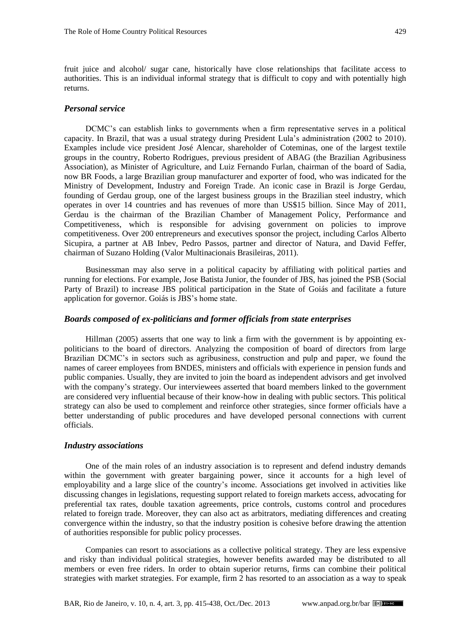fruit juice and alcohol/ sugar cane, historically have close relationships that facilitate access to authorities. This is an individual informal strategy that is difficult to copy and with potentially high returns.

#### *Personal service*

DCMC's can establish links to governments when a firm representative serves in a political capacity. In Brazil, that was a usual strategy during President Lula's administration (2002 to 2010). Examples include vice president José Alencar, shareholder of Coteminas, one of the largest textile groups in the country, Roberto Rodrigues, previous president of ABAG (the Brazilian Agribusiness Association), as Minister of Agriculture, and Luiz Fernando Furlan, chairman of the board of Sadia, now BR Foods, a large Brazilian group manufacturer and exporter of food, who was indicated for the Ministry of Development, Industry and Foreign Trade. An iconic case in Brazil is Jorge Gerdau, founding of Gerdau group, one of the largest business groups in the Brazilian steel industry, which operates in over 14 countries and has revenues of more than US\$15 billion. Since May of 2011, Gerdau is the chairman of the Brazilian Chamber of Management Policy, Performance and Competitiveness, which is responsible for advising government on policies to improve competitiveness. Over 200 entrepreneurs and executives sponsor the project, including Carlos Alberto Sicupira, a partner at AB Inbev, Pedro Passos, partner and director of Natura, and David Feffer, chairman of Suzano Holding [\(Valor Multinacionais Brasileiras, 2011\)](#page-20-10).

Businessman may also serve in a political capacity by affiliating with political parties and running for elections. For example, Jose Batista Junior, the founder of JBS, has joined the PSB (Social Party of Brazil) to increase JBS political participation in the State of Goiás and facilitate a future application for governor. Goiás is JBS's home state.

## *Boards composed of ex-politicians and former officials from state enterprises*

[Hillman](#page-18-15) (2005) asserts that one way to link a firm with the government is by appointing expoliticians to the board of directors. Analyzing the composition of board of directors from large Brazilian DCMC's in sectors such as agribusiness, construction and pulp and paper, we found the names of career employees from BNDES, ministers and officials with experience in pension funds and public companies. Usually, they are invited to join the board as independent advisors and get involved with the company's strategy. Our interviewees asserted that board members linked to the government are considered very influential because of their know-how in dealing with public sectors. This political strategy can also be used to complement and reinforce other strategies, since former officials have a better understanding of public procedures and have developed personal connections with current officials.

#### *Industry associations*

One of the main roles of an industry association is to represent and defend industry demands within the government with greater bargaining power, since it accounts for a high level of employability and a large slice of the country's income. Associations get involved in activities like discussing changes in legislations, requesting support related to foreign markets access, advocating for preferential tax rates, double taxation agreements, price controls, customs control and procedures related to foreign trade. Moreover, they can also act as arbitrators, mediating differences and creating convergence within the industry, so that the industry position is cohesive before drawing the attention of authorities responsible for public policy processes.

Companies can resort to associations as a collective political strategy. They are less expensive and risky than individual political strategies, however benefits awarded may be distributed to all members or even free riders. In order to obtain superior returns, firms can combine their political strategies with market strategies. For example, firm 2 has resorted to an association as a way to speak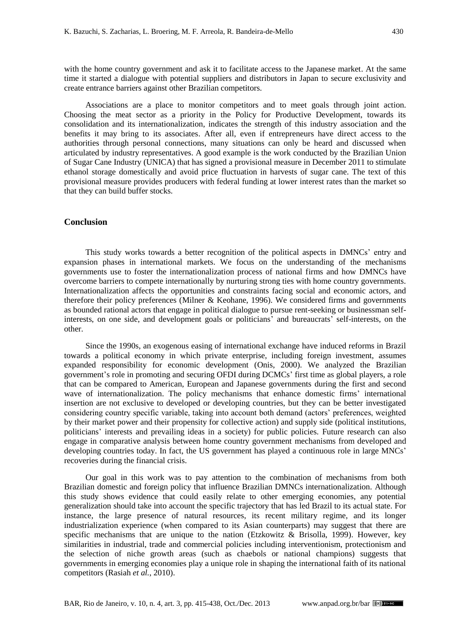with the home country government and ask it to facilitate access to the Japanese market. At the same time it started a dialogue with potential suppliers and distributors in Japan to secure exclusivity and create entrance barriers against other Brazilian competitors.

Associations are a place to monitor competitors and to meet goals through joint action. Choosing the meat sector as a priority in the Policy for Productive Development, towards its consolidation and its internationalization, indicates the strength of this industry association and the benefits it may bring to its associates. After all, even if entrepreneurs have direct access to the authorities through personal connections, many situations can only be heard and discussed when articulated by industry representatives. A good example is the work conducted by the Brazilian Union of Sugar Cane Industry (UNICA) that has signed a provisional measure in December 2011 to stimulate ethanol storage domestically and avoid price fluctuation in harvests of sugar cane. The text of this provisional measure provides producers with federal funding at lower interest rates than the market so that they can build buffer stocks.

## **Conclusion**

This study works towards a better recognition of the political aspects in DMNCs' entry and expansion phases in international markets. We focus on the understanding of the mechanisms governments use to foster the internationalization process of national firms and how DMNCs have overcome barriers to compete internationally by nurturing strong ties with home country governments. Internationalization affects the opportunities and constraints facing social and economic actors, and therefore their policy preferences (Milner & [Keohane, 1996\)](#page-19-11). We considered firms and governments as bounded rational actors that engage in political dialogue to pursue rent-seeking or businessman selfinterests, on one side, and development goals or politicians' and bureaucrats' self-interests, on the other.

Since the 1990s, an exogenous easing of international exchange have induced reforms in Brazil towards a political economy in which private enterprise, including foreign investment, assumes expanded responsibility for economic development [\(Onis, 2000\)](#page-20-15). We analyzed the Brazilian government's role in promoting and securing OFDI during DCMCs' first time as global players, a role that can be compared to American, European and Japanese governments during the first and second wave of internationalization. The policy mechanisms that enhance domestic firms' international insertion are not exclusive to developed or developing countries, but they can be better investigated considering country specific variable, taking into account both demand (actors' preferences, weighted by their market power and their propensity for collective action) and supply side (political institutions, politicians' interests and prevailing ideas in a society) for public policies. Future research can also engage in comparative analysis between home country government mechanisms from developed and developing countries today. In fact, the US government has played a continuous role in large MNCs' recoveries during the financial crisis.

Our goal in this work was to pay attention to the combination of mechanisms from both Brazilian domestic and foreign policy that influence Brazilian DMNCs internationalization. Although this study shows evidence that could easily relate to other emerging economies, any potential generalization should take into account the specific trajectory that has led Brazil to its actual state. For instance, the large presence of natural resources, its recent military regime, and its longer industrialization experience (when compared to its Asian counterparts) may suggest that there are specific mechanisms that are unique to the nation [\(Etzkowitz & Brisolla, 1999\)](#page-18-4). However, key similarities in industrial, trade and commercial policies including interventionism, protectionism and the selection of niche growth areas (such as chaebols or national champions) suggests that governments in emerging economies play a unique role in shaping the international faith of its national competitors [\(Rasiah](#page-20-5) *et al.*, 2010).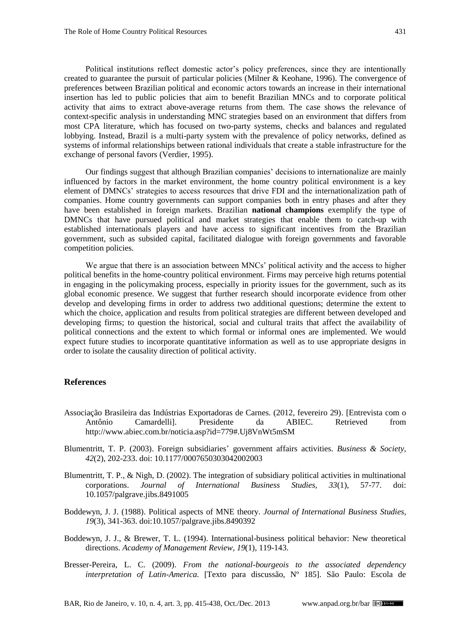Political institutions reflect domestic actor's policy preferences, since they are intentionally created to guarantee the pursuit of particular policies (Milner & [Keohane, 1996\)](#page-19-11). The convergence of preferences between Brazilian political and economic actors towards an increase in their international insertion has led to public policies that aim to benefit Brazilian MNCs and to corporate political activity that aims to extract above-average returns from them. The case shows the relevance of context-specific analysis in understanding MNC strategies based on an environment that differs from most CPA literature, which has focused on two-party systems, checks and balances and regulated lobbying. Instead, Brazil is a multi-party system with the prevalence of policy networks, defined as systems of informal relationships between rational individuals that create a stable infrastructure for the exchange of personal favors [\(Verdier, 1995\)](#page-20-16).

Our findings suggest that although Brazilian companies' decisions to internationalize are mainly influenced by factors in the market environment, the home country political environment is a key element of DMNCs' strategies to access resources that drive FDI and the internationalization path of companies. Home country governments can support companies both in entry phases and after they have been established in foreign markets. Brazilian **national champions** exemplify the type of DMNCs that have pursued political and market strategies that enable them to catch-up with established internationals players and have access to significant incentives from the Brazilian government, such as subsided capital, facilitated dialogue with foreign governments and favorable competition policies.

We argue that there is an association between MNCs' political activity and the access to higher political benefits in the home-country political environment. Firms may perceive high returns potential in engaging in the policymaking process, especially in priority issues for the government, such as its global economic presence. We suggest that further research should incorporate evidence from other develop and developing firms in order to address two additional questions; determine the extent to which the choice, application and results from political strategies are different between developed and developing firms; to question the historical, social and cultural traits that affect the availability of political connections and the extent to which formal or informal ones are implemented. We would expect future studies to incorporate quantitative information as well as to use appropriate designs in order to isolate the causality direction of political activity.

## **References**

- <span id="page-17-5"></span>[Associação Brasileira das Indústrias Exportadoras de Carnes. \(2012, fevereiro 29\).](http://www.abiec.com.br/noticia.asp?id=779#.Uj8VnWt5mSM) [Entrevista com o Antônio Camardelli]. Presidente da ABIEC. Retrieved from http://www.abiec.com.br/noticia.asp?id=779#.Uj8VnWt5mSM
- <span id="page-17-2"></span>[Blumentritt, T. P. \(2003\).](http://bas.sagepub.com/content/42/2/202.abstract) Foreign subsidiaries' government affairs activities. *Business & Society, 42*(2), 202-233. doi: 10.1177/0007650303042002003
- <span id="page-17-0"></span>[Blumentritt, T. P., & Nigh, D. \(2002\).](http://www.jstor.org/discover/10.2307/3069574?uid=3737664&uid=2129&uid=2&uid=70&uid=4&sid=21102662008731) The integration of subsidiary political activities in multinational corporations. *Journal of International Business Studies, 33*(1), 57-77. doi: 10.1057/palgrave.jibs.8491005
- <span id="page-17-1"></span>[Boddewyn, J. J. \(1988\).](http://www.jstor.org/discover/10.2307/155130?uid=3737664&uid=2129&uid=2&uid=70&uid=4&sid=21102662008731) Political aspects of MNE theory. *Journal of International Business Studies*, *19*(3), 341-363. doi:10.1057/palgrave.jibs.8490392
- <span id="page-17-3"></span>[Boddewyn, J. J., & Brewer, T. L. \(1994\).](http://www.jstor.org/discover/10.2307/258837?uid=3737664&uid=2129&uid=2&uid=70&uid=4&sid=21102662008731) International-business political behavior: New theoretical directions. *Academy of Management Review, 19*(1), 119-143.
- <span id="page-17-4"></span>[Bresser-Pereira, L. C. \(2009\).](http://www.bresserpereira.org.br/papers/2009/09.11.From_the_national-bourgeois.TD-185.pdf) *From the national-bourgeois to the associated dependency interpretation of Latin-America*. [Texto para discussão, Nº 185]. São Paulo: Escola de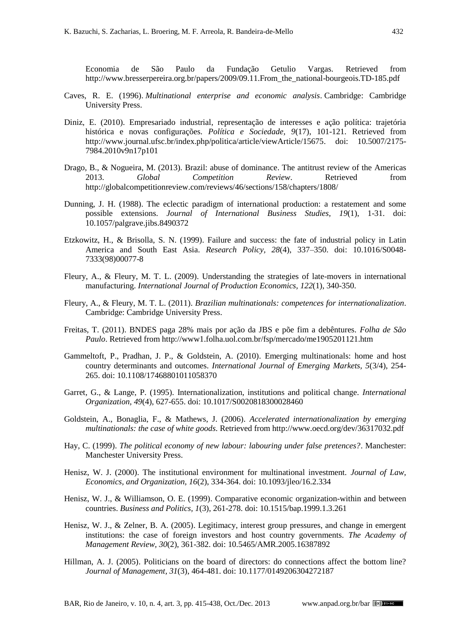Economia de São Paulo da Fundação Getulio Vargas. Retrieved from http://www.bresserpereira.org.br/papers/2009/09.11.From\_the\_national-bourgeois.TD-185.pdf

- <span id="page-18-5"></span>[Caves, R. E. \(1996\).](http://books.google.com.br/books/about/Multinational_Enterprise_and_Economic_An.html?id=U_wS5OmiRaYC&redir_esc=y) *Multinational enterprise and economic analysis*. Cambridge: Cambridge University Press.
- <span id="page-18-14"></span>[Diniz, E. \(2010\).](http://www.journal.ufsc.br/index.php/politica/article/viewArticle/15675.%20doi:%2010.5007/2175-7984.2010v9n17p101) Empresariado industrial, representação de interesses e ação política: trajetória histórica e novas configurações. *Política e Sociedade, 9*(17), 101-121. Retrieved from http://www.journal.ufsc.br/index.php/politica/article/viewArticle/15675. doi: 10.5007/2175- 7984.2010v9n17p101
- <span id="page-18-11"></span>Drago, B., & [Nogueira, M. \(2013\).](http://globalcompetitionreview.com/reviews/46/sections/158/chapters/1808/) Brazil: abuse of dominance. The antitrust review of the Americas 2013. *Global Competition Review*. Retrieved from http://globalcompetitionreview.com/reviews/46/sections/158/chapters/1808/
- <span id="page-18-6"></span>[Dunning, J. H. \(1988\).](http://www.jstor.org/discover/10.2307/154984?uid=3737664&uid=2129&uid=2&uid=70&uid=4&sid=21102662473181) The eclectic paradigm of international production: a restatement and some possible extensions. *Journal of International Business Studies, 19*(1), 1-31. doi: 10.1057/palgrave.jibs.8490372
- <span id="page-18-4"></span>[Etzkowitz, H.,](http://www.sciencedirect.com/science/article/pii/S0048733398000778) & Brisolla, S. N. (1999). Failure and success: the fate of industrial policy in Latin America and South East Asia. *Research Policy, 28*(4), 337–350. doi: 10.1016/S0048- 7333(98)00077-8
- <span id="page-18-8"></span>[Fleury, A., & Fleury, M. T.](http://www.sciencedirect.com/science/article/pii/S0925527309001984) L. (2009). Understanding the strategies of late-movers in international manufacturing. *International Journal of Production Economics, 122*(1), 340-350.
- <span id="page-18-9"></span>[Fleury, A., & Fleury, M. T. L. \(2011\).](http://www.amazon.com/Brazilian-Multinationals-Internationalization-Afonso-Fleury/dp/0521519489#reader_0521519489) *Brazilian multinationals: competences for internationalization*. Cambridge: Cambridge University Press.
- <span id="page-18-10"></span>[Freitas, T. \(2011\).](http://www1.folha.uol.com.br/fsp/mercado/me1905201121.htm) BNDES paga 28% mais por ação da JBS e põe fim a debêntures. *Folha de São Paulo*. Retrieved from http://www1.folha.uol.com.br/fsp/mercado/me1905201121.htm
- <span id="page-18-3"></span>[Gammeltoft, P., Pradhan, J. P., & Goldstein, A. \(2010\).](http://www.emeraldinsight.com/journals.htm?articleid=1871243&show=html) Emerging multinationals: home and host country determinants and outcomes. *International Journal of Emerging Markets, 5*(3/4), 254- 265. doi: 10.1108/17468801011058370
- <span id="page-18-2"></span>[Garret, G.,](http://www.jstor.org/discover/10.2307/2706921?uid=3737664&uid=2129&uid=2&uid=70&uid=4&sid=21102662473181) & Lange, P. (1995). Internationalization, institutions and political change. *International Organization, 49*(4), 627-655. doi: 10.1017/S0020818300028460
- <span id="page-18-0"></span>[Goldstein, A., Bonaglia, F., & Mathews, J. \(2006\).](http://www.oecd.org/dev/36317032.pdf) *Accelerated internationalization by emerging multinationals: the case of white goods*. Retrieved from http://www.oecd.org/dev/36317032.pdf
- <span id="page-18-12"></span>[Hay, C. \(1999\).](http://books.google.co.uk/books/about/The_Political_Economy_of_New_Labour.html?id=STP_N36oaZwC) *The political economy of new labour: labouring under false pretences?*. Manchester: Manchester University Press.
- <span id="page-18-1"></span>[Henisz, W. J. \(2000\).](http://jleo.oxfordjournals.org/content/16/2/334.short) The institutional environment for multinational investment. *Journal of Law, Economics, and Organization, 16*(2), 334-364. doi: 10.1093/jleo/16.2.334
- <span id="page-18-7"></span>[Henisz, W. J., & Williamson, O. E. \(1999\).](http://www.degruyter.com/view/j/bap.1999.1.issue-3/bap.1999.1.3.261/bap.1999.1.3.261.xml) Comparative economic organization-within and between countries. *Business and Politics, 1*(3), 261-278. doi: 10.1515/bap.1999.1.3.261
- <span id="page-18-13"></span>[Henisz, W. J., & Zelner, B. A. \(2005\).](https://www.google.com.br/url?sa=t&rct=j&q=&esrc=s&frm=1&source=web&cd=1&cad=rja&ved=0CCsQFjAA&url=https%3A%2F%2Fmgmt.wharton.upenn.edu%2Ffiles%2F%3Fwhdmsaction%3Dpublic%3Amain.file%26fileID%3D3777&ei=QhpDUunQOoW89gT8rYGQCg&usg=AFQjCNGuHWVeb02ZtYKgWZuLAFqD) Legitimacy, interest group pressures, and change in emergent institutions: the case of foreign investors and host country governments. *The Academy of Management Review, 30*(2), 361-382. doi: 10.5465/AMR.2005.16387892
- <span id="page-18-15"></span>[Hillman, A. J. \(2005\).](http://jom.sagepub.com/content/31/3/464.abstract) Politicians on the board of directors: do connections affect the bottom line? *Journal of Management, 31*(3), 464-481. doi: 10.1177/0149206304272187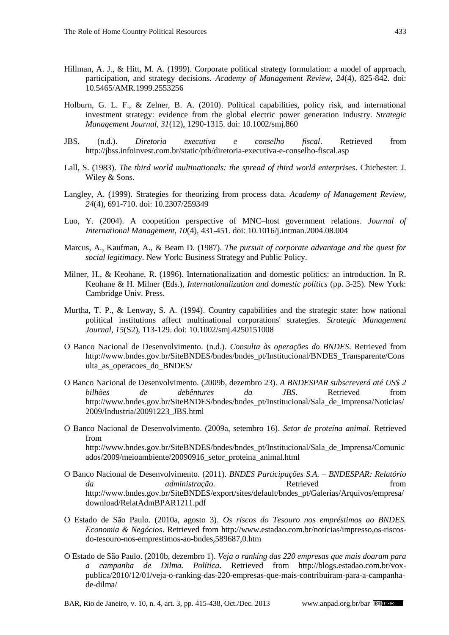- <span id="page-19-5"></span>[Hillman, A. J., & Hitt, M. A. \(1999\).](http://amr.aom.org/content/24/4/825.abstract) Corporate political strategy formulation: a model of approach, participation, and strategy decisions. *Academy of Management Review, 24*(4), 825-842. doi: 10.5465/AMR.1999.2553256
- <span id="page-19-0"></span>[Holburn, G. L. F., & Zelner, B. A. \(2010\).](http://onlinelibrary.wiley.com/doi/10.1002/smj.860/abstract) Political capabilities, policy risk, and international investment strategy: evidence from the global electric power generation industry. *Strategic Management Journal, 31*(12), 1290-1315. doi: 10.1002/smj.860
- <span id="page-19-14"></span>[JBS. \(n.d.\).](http://jbss.infoinvest.com.br/static/ptb/diretoria-executiva-e-conselho-fiscal.asp) *Diretoria executiva e conselho fiscal*. Retrieved from http://jbss.infoinvest.com.br/static/ptb/diretoria-executiva-e-conselho-fiscal.asp
- <span id="page-19-3"></span>[Lall, S. \(1983\).](#page-19-3) *The third world multinationals: the spread of third world enterprises*. Chichester: J. Wiley & Sons.
- <span id="page-19-6"></span>[Langley, A. \(1999\).](http://www.jstor.org/discover/10.2307/259349?uid=3737664&uid=2129&uid=2&uid=70&uid=4&sid=21102662699211) Strategies for theorizing from process data. *Academy of Management Review, 24*(4), 691-710. doi: 10.2307/259349
- <span id="page-19-2"></span>[Luo, Y. \(2004\).](http://www.sciencedirect.com/science/article/pii/S1075425304000559) A coopetition perspective of MNC–host government relations. *Journal of International Management, 10*(4), 431-451. doi: 10.1016/j.intman.2004.08.004
- <span id="page-19-1"></span>[Marcus, A., Kaufman, A., &](#page-19-1) Beam D. (1987). *The pursuit of corporate advantage and the quest for social legitimacy*. New York: Business Strategy and Public Policy.
- <span id="page-19-11"></span>Milner, [H., & Keohane, R. \(1996\).](#page-19-11) Internationalization and domestic politics: an introduction. In R. Keohane & H. Milner (Eds.), *Internationalization and domestic politics* (pp. 3-25). New York: Cambridge Univ. Press.
- <span id="page-19-4"></span>[Murtha, T. P., & Lenway, S. A. \(1994\).](http://onlinelibrary.wiley.com/doi/10.1002/smj.4250151008/abstract) Country capabilities and the strategic state: how national political institutions affect multinational corporations' strategies. *Strategic Management Journal, 15*(S2), 113-129. doi: 10.1002/smj.4250151008
- <span id="page-19-8"></span>O [Banco Nacional de Desenvolvimento. \(n.d.\).](http://www.bndes.gov.br/SiteBNDES/bndes/bndes_pt/Institucional/BNDES_Transparente/Consulta_as_operacoes_do_BNDES/) *Consulta às operações do BNDES*. Retrieved from http://www.bndes.gov.br/SiteBNDES/bndes/bndes\_pt/Institucional/BNDES\_Transparente/Cons ulta\_as\_operacoes\_do\_BNDES/
- <span id="page-19-13"></span>O [Banco Nacional de Desenvolvimento. \(2009b, dezembro 23\).](http://www.bndes.gov.br/SiteBNDES/bndes/bndes_pt/Institucional/Sala_de_Imprensa/Noticias/2009/Industria/20091223_JBS.html) *A BNDESPAR subscreverá até US\$ 2 bilhões de debêntures da JBS*. Retrieved from http://www.bndes.gov.br/SiteBNDES/bndes/bndes\_pt/Institucional/Sala\_de\_Imprensa/Noticias/ 2009/Industria/20091223\_JBS.html
- <span id="page-19-12"></span>O [Banco Nacional de Desenvolvimento. \(2009a, setembro 16\).](http://www.bndes.gov.br/SiteBNDES/bndes/bndes_pt/Institucional/Sala_de_Imprensa/Comunicados/2009/meioambiente/20090916_setor_proteina_animal.html) *Setor de proteína animal*. Retrieved from http://www.bndes.gov.br/SiteBNDES/bndes/bndes\_pt/Institucional/Sala\_de\_Imprensa/Comunic ados/2009/meioambiente/20090916\_setor\_proteina\_animal.html
- <span id="page-19-9"></span>[O Banco Nacional de Desenvolvimento.](http://www.bndes.gov.br/SiteBNDES/export/sites/default/bndes_pt/Galerias/Arquivos/empresa/download/RelatAdmBPAR1211.pdf) (2011). *BNDES Participações S.A. – BNDESPAR: Relatório da administração*. Retrieved from http://www.bndes.gov.br/SiteBNDES/export/sites/default/bndes\_pt/Galerias/Arquivos/empresa/ download/RelatAdmBPAR1211.pdf
- <span id="page-19-7"></span>[O Estado de São Paulo. \(2010a, agosto 3\).](http://www.estadao.com.br/noticias/impresso,os-riscos-do-tesouro-nos-emprestimos-ao-bndes,589687,0.htm) *Os riscos do Tesouro nos empréstimos ao BNDES. Economia & Negócios*. Retrieved from http://www.estadao.com.br/noticias/impresso,os-riscosdo-tesouro-nos-emprestimos-ao-bndes,589687,0.htm
- <span id="page-19-10"></span>[O Estado de São Paulo. \(2010b, dezembro 1\).](http://blogs.estadao.com.br/vox-publica/2010/12/01/veja-o-ranking-das-220-empresas-que-mais-contribuiram-para-a-campanha-de-dilma/) *Veja o ranking das 220 empresas que mais doaram para a campanha de Dilma. Política*. Retrieved from http://blogs.estadao.com.br/voxpublica/2010/12/01/veja-o-ranking-das-220-empresas-que-mais-contribuiram-para-a-campanhade-dilma/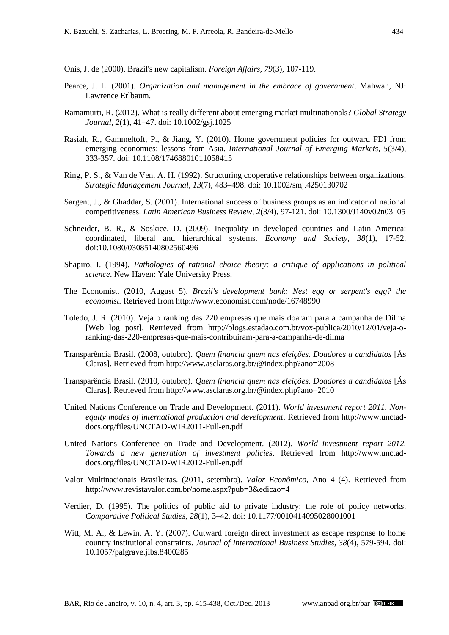<span id="page-20-15"></span>[Onis, J. de](http://www.jstor.org/discover/10.2307/20049733?uid=3737664&uid=2129&uid=2&uid=70&uid=4&sid=21102662699211) (2000). Brazil's new capitalism. *Foreign Affairs, 79*(3), 107-119.

- <span id="page-20-11"></span>[Pearce, J.](#page-20-11) L. (2001). *Organization and management in the embrace of government*. Mahwah, NJ: Lawrence Erlbaum.
- <span id="page-20-0"></span>[Ramamurti, R. \(2012\).](http://onlinelibrary.wiley.com/doi/10.1002/gsj.1025/abstract) What is really different about emerging market multinationals? *Global Strategy Journal, 2*(1), 41–47. doi: 10.1002/gsj.1025
- <span id="page-20-5"></span>[Rasiah, R., Gammeltoft, P., & Jiang, Y. \(2010\).](http://www.emeraldinsight.com/journals.htm?articleid=1871247) Home government policies for outward FDI from emerging economies: lessons from Asia. *International Journal of Emerging Markets, 5*(3/4), 333-357. doi: 10.1108/17468801011058415
- <span id="page-20-8"></span>[Ring, P. S., & Van de Ven, A. H. \(1992\).](http://onlinelibrary.wiley.com/doi/10.1002/smj.4250130702/abstract) Structuring cooperative relationships between organizations. *Strategic Management Journal, 13*(7), 483–498. doi: 10.1002/smj.4250130702
- <span id="page-20-4"></span>[Sargent, J., & Ghaddar, S. \(2001\).](http://www.tandfonline.com/doi/abs/10.1300/J140v02n03_05#preview) International success of business groups as an indicator of national competitiveness. *Latin American Business Review, 2*(3/4), 97-121. doi: 10.1300/J140v02n03\_05
- <span id="page-20-3"></span>[Schneider, B. R., & Soskice, D. \(2009\).](http://www.tandfonline.com/doi/abs/10.1080/03085140802560496?journalCode=reso20#preview) Inequality in developed countries and Latin America: coordinated, liberal and hierarchical systems. *Economy and Society, 38*(1), 17-52. doi:10.1080/03085140802560496
- <span id="page-20-6"></span>[Shapiro, I. \(1994\).](#page-20-6) *Pathologies of rational choice theory: a critique of applications in political science*. New Haven: Yale University Press.
- <span id="page-20-9"></span>The Economist. [\(2010, August 5\).](http://www.economist.com/node/16748990) *Brazil's development bank: Nest egg or serpent's egg? the economist.* Retrieved from http://www.economist.com/node/16748990
- <span id="page-20-14"></span>[Toledo, J. R. \(2010\).](http://blogs.estadao.com.br/vox-publica/2010/12/01/veja-o-ranking-das-220-empresas-que-mais-contribuiram-para-a-campanha-de-dilma/) Veja o ranking das 220 empresas que mais doaram para a campanha de Dilma [Web log post]. Retrieved from http://blogs.estadao.com.br/vox-publica/2010/12/01/veja-oranking-das-220-empresas-que-mais-contribuiram-para-a-campanha-de-dilma
- <span id="page-20-13"></span>[Transparência Brasil. \(2008, outubro\).](http://www.asclaras.org.br/@index.php?ano=2008) *Quem financia quem nas eleições. Doadores a candidatos* [Ás Claras]. Retrieved from http://www.asclaras.org.br/@index.php?ano=2008
- <span id="page-20-12"></span>[Transparência Brasil. \(2010, outubro\).](http://www.asclaras.org.br/@index.php?ano=2010) *Quem financia quem nas eleições. Doadores a candidatos* [Ás Claras]. Retrieved from http://www.asclaras.org.br/@index.php?ano=2010
- <span id="page-20-1"></span>[United Nations Conference on Trade and Development.](http://www.unctad-docs.org/files/UNCTAD-WIR2011-Full-en.pdf) (2011). *World investment report 2011. Nonequity modes of international production and development*. Retrieved from http://www.unctaddocs.org/files/UNCTAD-WIR2011-Full-en.pdf
- <span id="page-20-2"></span>[United Nations Conference on Trade and Development. \(2012\).](http://www.unctad-docs.org/files/UNCTAD-WIR2012-Full-en.pdf) *World investment report 2012. Towards a new generation of investment policies*. Retrieved from http://www.unctaddocs.org/files/UNCTAD-WIR2012-Full-en.pdf
- <span id="page-20-10"></span>Valor Multinacionais [Brasileiras. \(2011, setembro\).](http://www.revistavalor.com.br/home.aspx?pub=3&edicao=4) *Valor Econômico*, Ano 4 (4). Retrieved from http://www.revistavalor.com.br/home.aspx?pub=3&edicao=4
- <span id="page-20-16"></span>[Verdier, D. \(1995\).](http://cps.sagepub.com/content/28/1/3.abstract) The politics of public aid to private industry: the role of policy networks. *Comparative Political Studies, 28*(1), 3–42. doi: 10.1177/0010414095028001001
- <span id="page-20-7"></span>[Witt, M. A., & Lewin, A. Y. \(2007\).](http://www.palgrave-journals.com/jibs/journal/v38/n4/abs/8400285a.html) Outward foreign direct investment as escape response to home country institutional constraints. *Journal of International Business Studies, 38*(4), 579-594. doi: 10.1057/palgrave.jibs.8400285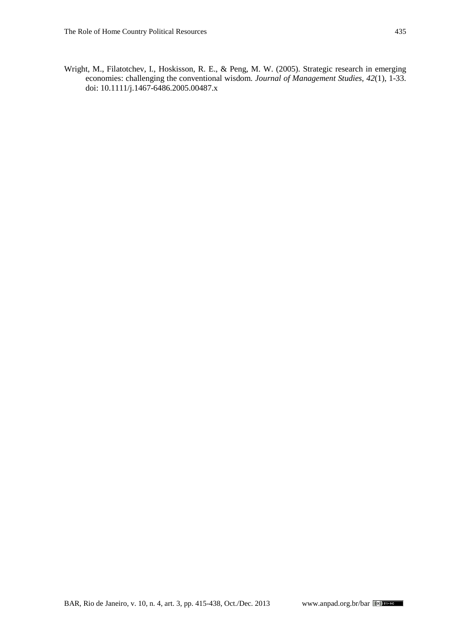<span id="page-21-0"></span>Wright, M., [Filatotchev, I., Hoskisson, R.](http://onlinelibrary.wiley.com/doi/10.1111/j.1467-6486.2005.00487.x/abstract?systemMessage=Wiley+Online+Library+will+be+unavailable+for+approximately+4+hours+between+09%3A00+EDT+and+14%3A00+EDT+on+Saturday%2C+28+September+2013+as+we+make+upgrades+to+improv) E., & Peng, M. W. (2005). Strategic research in emerging economies: challenging the conventional wisdom. *Journal of Management Studies, 42*(1), 1-33. doi: 10.1111/j.1467-6486.2005.00487.x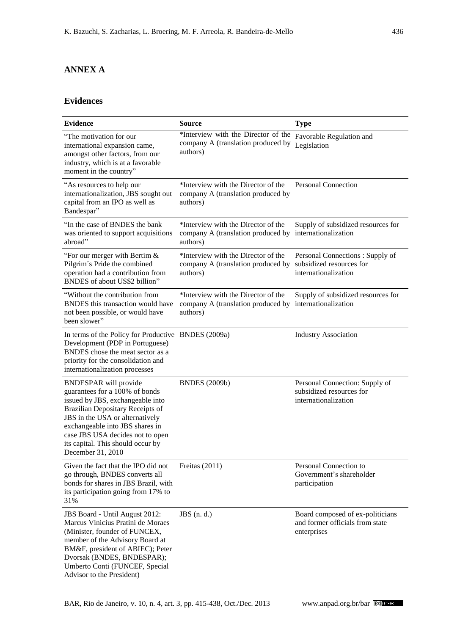## **ANNEX A**

## **Evidences**

| <b>Evidence</b>                                                                                                                                                                                                                                                                                            | <b>Source</b>                                                                                              | <b>Type</b>                                                                         |
|------------------------------------------------------------------------------------------------------------------------------------------------------------------------------------------------------------------------------------------------------------------------------------------------------------|------------------------------------------------------------------------------------------------------------|-------------------------------------------------------------------------------------|
| "The motivation for our<br>international expansion came,<br>amongst other factors, from our<br>industry, which is at a favorable<br>moment in the country"                                                                                                                                                 | *Interview with the Director of the<br>company A (translation produced by<br>authors)                      | Favorable Regulation and<br>Legislation                                             |
| "As resources to help our<br>internationalization, JBS sought out<br>capital from an IPO as well as<br>Bandespar"                                                                                                                                                                                          | *Interview with the Director of the<br>company A (translation produced by<br>authors)                      | <b>Personal Connection</b>                                                          |
| "In the case of BNDES the bank<br>was oriented to support acquisitions<br>abroad"                                                                                                                                                                                                                          | *Interview with the Director of the<br>company A (translation produced by internationalization<br>authors) | Supply of subsidized resources for                                                  |
| "For our merger with Bertim $&$<br>Pilgrim's Pride the combined<br>operation had a contribution from<br>BNDES of about US\$2 billion"                                                                                                                                                                      | *Interview with the Director of the<br>company A (translation produced by<br>authors)                      | Personal Connections: Supply of<br>subsidized resources for<br>internationalization |
| "Without the contribution from<br>BNDES this transaction would have<br>not been possible, or would have<br>been slower"                                                                                                                                                                                    | *Interview with the Director of the<br>company A (translation produced by<br>authors)                      | Supply of subsidized resources for<br>internationalization                          |
| In terms of the Policy for Productive BNDES (2009a)<br>Development (PDP in Portuguese)<br>BNDES chose the meat sector as a<br>priority for the consolidation and<br>internationalization processes                                                                                                         |                                                                                                            | <b>Industry Association</b>                                                         |
| <b>BNDESPAR</b> will provide<br>guarantees for a 100% of bonds<br>issued by JBS, exchangeable into<br>Brazilian Depositary Receipts of<br>JBS in the USA or alternatively<br>exchangeable into JBS shares in<br>case JBS USA decides not to open<br>its capital. This should occur by<br>December 31, 2010 | <b>BNDES</b> (2009b)                                                                                       | Personal Connection: Supply of<br>subsidized resources for<br>internationalization  |
| Given the fact that the IPO did not<br>go through, BNDES converts all<br>bonds for shares in JBS Brazil, with<br>its participation going from 17% to<br>31%                                                                                                                                                | Freitas (2011)                                                                                             | Personal Connection to<br>Government's shareholder<br>participation                 |
| JBS Board - Until August 2012:<br>Marcus Vinicius Pratini de Moraes<br>(Minister, founder of FUNCEX,<br>member of the Advisory Board at<br>BM&F, president of ABIEC); Peter<br>Dvorsak (BNDES, BNDESPAR);<br>Umberto Conti (FUNCEF, Special<br>Advisor to the President)                                   | $JBS$ (n. d.)                                                                                              | Board composed of ex-politicians<br>and former officials from state<br>enterprises  |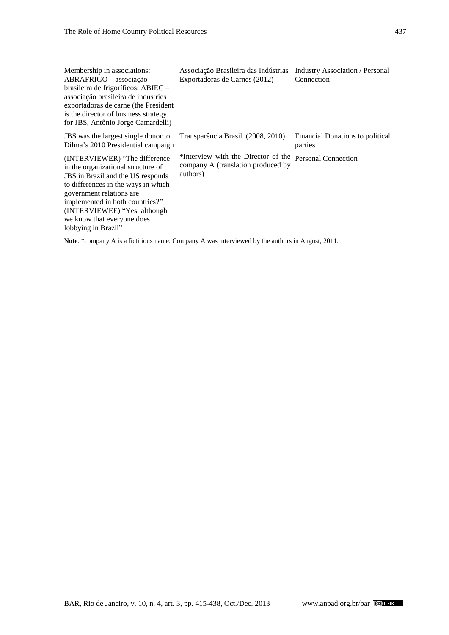| Membership in associations:<br>ABRAFRIGO - associação<br>brasileira de frigoríficos; ABIEC -<br>associação brasileira de industries<br>exportadoras de carne (the President<br>is the director of business strategy<br>for JBS, Antônio Jorge Camardelli)                                                  | Associação Brasileira das Indústrias<br>Exportadoras de Carnes (2012)                 | <b>Industry Association / Personal</b><br>Connection |
|------------------------------------------------------------------------------------------------------------------------------------------------------------------------------------------------------------------------------------------------------------------------------------------------------------|---------------------------------------------------------------------------------------|------------------------------------------------------|
| JBS was the largest single donor to<br>Dilma's 2010 Presidential campaign                                                                                                                                                                                                                                  | Transparência Brasil. (2008, 2010)                                                    | Financial Donations to political<br>parties          |
| (INTERVIEWER) "The difference<br>in the organizational structure of<br><b>JBS</b> in Brazil and the US responds<br>to differences in the ways in which<br>government relations are<br>implemented in both countries?"<br>(INTERVIEWEE) "Yes, although<br>we know that everyone does<br>lobbying in Brazil" | *Interview with the Director of the<br>company A (translation produced by<br>authors) | Personal Connection                                  |

**Note**. \*company A is a fictitious name. Company A was interviewed by the authors in August, 2011.